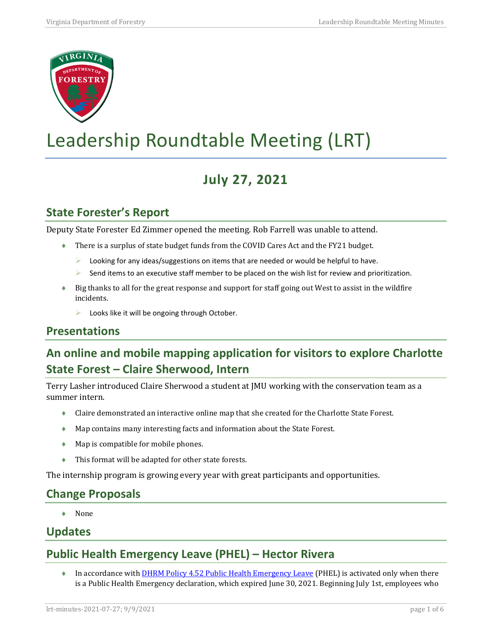

# Leadership Roundtable Meeting (LRT)

## **July 27, 2021**

## **State Forester's Report**

Deputy State Forester Ed Zimmer opened the meeting. Rob Farrell was unable to attend.

- ♦ There is a surplus of state budget funds from the COVID Cares Act and the FY21 budget.
	- $\triangleright$  Looking for any ideas/suggestions on items that are needed or would be helpful to have.
	- Send items to an executive staff member to be placed on the wish list for review and prioritization.
- ♦ Big thanks to all for the great response and support for staff going out West to assist in the wildfire incidents.
	- $\triangleright$  Looks like it will be ongoing through October.

## **Presentations**

## **An online and mobile mapping application for visitors to explore Charlotte State Forest – Claire Sherwood, Intern**

Terry Lasher introduced Claire Sherwood a student at JMU working with the conservation team as a summer intern.

- ♦ Claire demonstrated an interactive online map that she created for the Charlotte State Forest.
- ♦ Map contains many interesting facts and information about the State Forest.
- ♦ Map is compatible for mobile phones.
- ♦ This format will be adapted for other state forests.

The internship program is growing every year with great participants and opportunities.

## **Change Proposals**

♦ None

#### **Updates**

## **Public Health Emergency Leave (PHEL) – Hector Rivera**

• In accordance with **DHRM Policy 4.52 Public Health Emergency Leave** (PHEL) is activated only when there is a Public Health Emergency declaration, which expired June 30, 2021. Beginning July 1st, employees who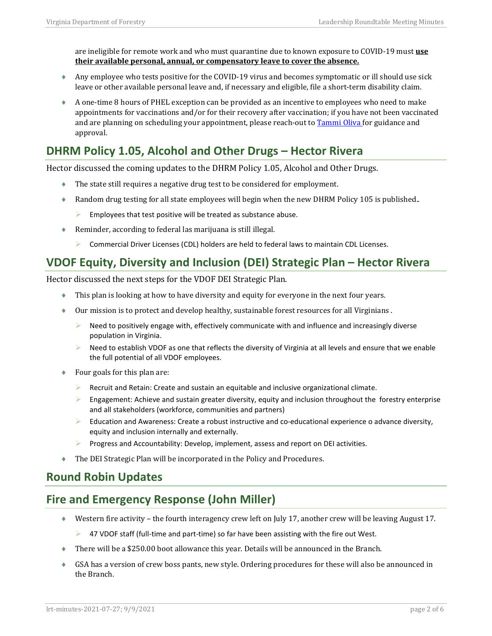are ineligible for remote work and who must quarantine due to known exposure to COVID-19 must **use their available personal, annual, or compensatory leave to cover the absence.**

- ♦ Any employee who tests positive for the COVID-19 virus and becomes symptomatic or ill should use sick leave or other available personal leave and, if necessary and eligible, file a short-term disability claim.
- ♦ A one-time 8 hours of PHEL exception can be provided as an incentive to employees who need to make appointments for vaccinations and/or for their recovery after vaccination; if you have not been vaccinated and are planning on scheduling your appointment, please reach-out to [Tammi Oliva f](mailto:tammi.oliva@dof.virginia.gov?subject=PHEL)or guidance and approval.

## **DHRM Policy 1.05, Alcohol and Other Drugs – Hector Rivera**

Hector discussed the coming updates to the DHRM Policy 1.05, Alcohol and Other Drugs.

- ♦ The state still requires a negative drug test to be considered for employment.
- ♦ Random drug testing for all state employees will begin when the new DHRM Policy 105 is published..
	- Employees that test positive will be treated as substance abuse.
- ♦ Reminder, according to federal las marijuana is still illegal.
	- $\triangleright$  Commercial Driver Licenses (CDL) holders are held to federal laws to maintain CDL Licenses.

#### **VDOF Equity, Diversity and Inclusion (DEI) Strategic Plan – Hector Rivera**

Hector discussed the next steps for the VDOF DEI Strategic Plan.

- ♦ This plan is looking at how to have diversity and equity for everyone in the next four years.
- ♦ Our mission is to protect and develop healthy, sustainable forest resources for all Virginians .
	- Need to positively engage with, effectively communicate with and influence and increasingly diverse population in Virginia.
	- $\triangleright$  Need to establish VDOF as one that reflects the diversity of Virginia at all levels and ensure that we enable the full potential of all VDOF employees.
- $\bullet$  Four goals for this plan are:
	- $\triangleright$  Recruit and Retain: Create and sustain an equitable and inclusive organizational climate.
	- $\triangleright$  Engagement: Achieve and sustain greater diversity, equity and inclusion throughout the forestry enterprise and all stakeholders (workforce, communities and partners)
	- $\triangleright$  Education and Awareness: Create a robust instructive and co-educational experience o advance diversity, equity and inclusion internally and externally.
	- **Progress and Accountability: Develop, implement, assess and report on DEI activities.**
- The DEI Strategic Plan will be incorporated in the Policy and Procedures.

#### **Round Robin Updates**

## **Fire and Emergency Response (John Miller)**

- ♦ Western fire activity the fourth interagency crew left on July 17, another crew will be leaving August 17.
	- $\triangleright$  47 VDOF staff (full-time and part-time) so far have been assisting with the fire out West.
- ♦ There will be a \$250.00 boot allowance this year. Details will be announced in the Branch.
- ♦ GSA has a version of crew boss pants, new style. Ordering procedures for these will also be announced in the Branch.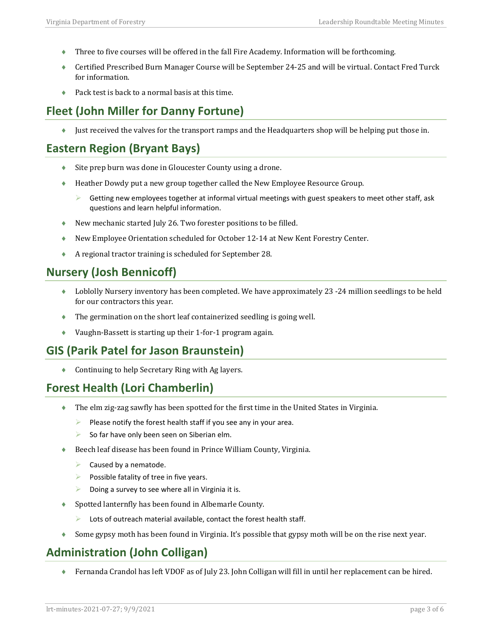- ♦ Three to five courses will be offered in the fall Fire Academy. Information will be forthcoming.
- ♦ Certified Prescribed Burn Manager Course will be September 24-25 and will be virtual. Contact Fred Turck for information.
- Pack test is back to a normal basis at this time.

## **Fleet (John Miller for Danny Fortune)**

♦ Just received the valves for the transport ramps and the Headquarters shop will be helping put those in.

## **Eastern Region (Bryant Bays)**

- ♦ Site prep burn was done in Gloucester County using a drone.
- ♦ Heather Dowdy put a new group together called the New Employee Resource Group.
	- Getting new employees together at informal virtual meetings with guest speakers to meet other staff, ask questions and learn helpful information.
- ♦ New mechanic started July 26. Two forester positions to be filled.
- ♦ New Employee Orientation scheduled for October 12-14 at New Kent Forestry Center.
- ♦ A regional tractor training is scheduled for September 28.

#### **Nursery (Josh Bennicoff)**

- ♦ Loblolly Nursery inventory has been completed. We have approximately 23 -24 million seedlings to be held for our contractors this year.
- ♦ The germination on the short leaf containerized seedling is going well.
- ♦ Vaughn-Bassett is starting up their 1-for-1 program again.

## **GIS (Parik Patel for Jason Braunstein)**

♦ Continuing to help Secretary Ring with Ag layers.

## **Forest Health (Lori Chamberlin)**

- ♦ The elm zig-zag sawfly has been spotted for the first time in the United States in Virginia.
	- $\triangleright$  Please notify the forest health staff if you see any in your area.
	- $\triangleright$  So far have only been seen on Siberian elm.
- Beech leaf disease has been found in Prince William County, Virginia.
	- $\triangleright$  Caused by a nematode.
	- $\triangleright$  Possible fatality of tree in five years.
	- Doing a survey to see where all in Virginia it is.
- ♦ Spotted lanternfly has been found in Albemarle County.
	- $\triangleright$  Lots of outreach material available, contact the forest health staff.
- ♦ Some gypsy moth has been found in Virginia. It's possible that gypsy moth will be on the rise next year.

## **Administration (John Colligan)**

♦ Fernanda Crandol has left VDOF as of July 23. John Colligan will fill in until her replacement can be hired.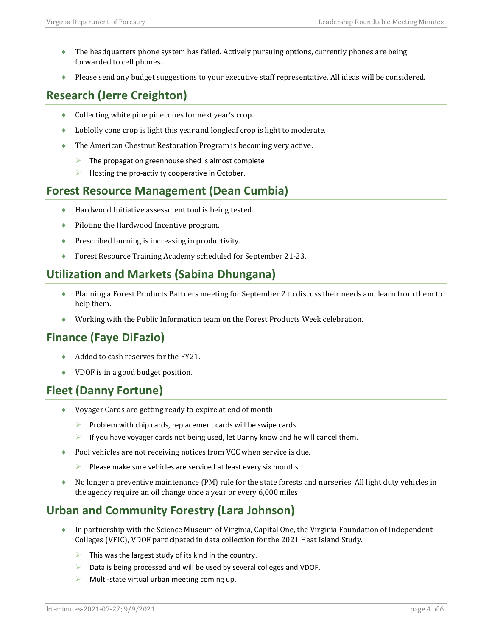- ♦ The headquarters phone system has failed. Actively pursuing options, currently phones are being forwarded to cell phones.
- ♦ Please send any budget suggestions to your executive staff representative. All ideas will be considered.

## **Research (Jerre Creighton)**

- ♦ Collecting white pine pinecones for next year's crop.
- ♦ Loblolly cone crop is light this year and longleaf crop is light to moderate.
- ♦ The American Chestnut Restoration Program is becoming very active.
	- $\triangleright$  The propagation greenhouse shed is almost complete
	- $\blacktriangleright$  Hosting the pro-activity cooperative in October.

## **Forest Resource Management (Dean Cumbia)**

- ♦ Hardwood Initiative assessment tool is being tested.
- ♦ Piloting the Hardwood Incentive program.
- ♦ Prescribed burning is increasing in productivity.
- ♦ Forest Resource Training Academy scheduled for September 21-23.

## **Utilization and Markets (Sabina Dhungana)**

- ♦ Planning a Forest Products Partners meeting for September 2 to discuss their needs and learn from them to help them.
- ♦ Working with the Public Information team on the Forest Products Week celebration.

## **Finance (Faye DiFazio)**

- ◆ Added to cash reserves for the FY21.
- ♦ VDOF is in a good budget position.

## **Fleet (Danny Fortune)**

- ♦ Voyager Cards are getting ready to expire at end of month.
	- $\triangleright$  Problem with chip cards, replacement cards will be swipe cards.
	- $\triangleright$  If you have voyager cards not being used, let Danny know and he will cancel them.
- ◆ Pool vehicles are not receiving notices from VCC when service is due.
	- $\triangleright$  Please make sure vehicles are serviced at least every six months.
- ♦ No longer a preventive maintenance (PM) rule for the state forests and nurseries. All light duty vehicles in the agency require an oil change once a year or every 6,000 miles.

## **Urban and Community Forestry (Lara Johnson)**

- ♦ In partnership with the Science Museum of Virginia, Capital One, the Virginia Foundation of Independent Colleges (VFIC), VDOF participated in data collection for the 2021 Heat Island Study.
	- $\triangleright$  This was the largest study of its kind in the country.
	- Data is being processed and will be used by several colleges and VDOF.
	- Multi-state virtual urban meeting coming up.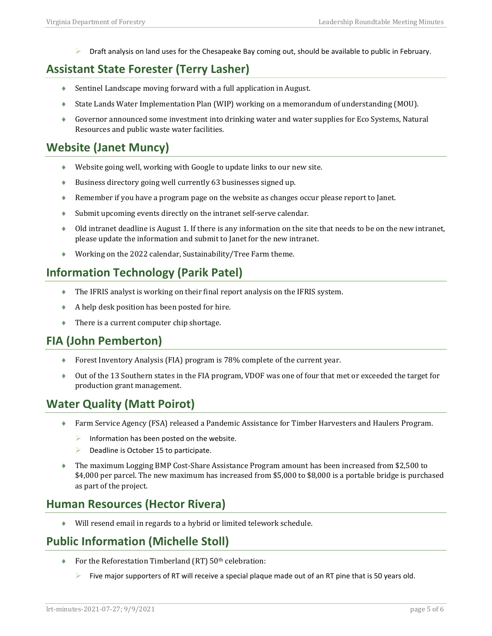Draft analysis on land uses for the Chesapeake Bay coming out, should be available to public in February.

## **Assistant State Forester (Terry Lasher)**

- ♦ Sentinel Landscape moving forward with a full application in August.
- ♦ State Lands Water Implementation Plan (WIP) working on a memorandum of understanding (MOU).
- ♦ Governor announced some investment into drinking water and water supplies for Eco Systems, Natural Resources and public waste water facilities.

## **Website (Janet Muncy)**

- ♦ Website going well, working with Google to update links to our new site.
- ♦ Business directory going well currently 63 businesses signed up.
- ♦ Remember if you have a program page on the website as changes occur please report to Janet.
- ♦ Submit upcoming events directly on the intranet self-serve calendar.
- ♦ Old intranet deadline is August 1. If there is any information on the site that needs to be on the new intranet, please update the information and submit to Janet for the new intranet.
- Working on the 2022 calendar, Sustainability/Tree Farm theme.

## **Information Technology (Parik Patel)**

- ♦ The IFRIS analyst is working on their final report analysis on the IFRIS system.
- ♦ A help desk position has been posted for hire.
- ♦ There is a current computer chip shortage.

## **FIA (John Pemberton)**

- ♦ Forest Inventory Analysis (FIA) program is 78% complete of the current year.
- ♦ Out of the 13 Southern states in the FIA program, VDOF was one of four that met or exceeded the target for production grant management.

## **Water Quality (Matt Poirot)**

- ♦ Farm Service Agency (FSA) released a Pandemic Assistance for Timber Harvesters and Haulers Program.
	- $\triangleright$  Information has been posted on the website.
	- $\triangleright$  Deadline is October 15 to participate.
- ♦ The maximum Logging BMP Cost-Share Assistance Program amount has been increased from \$2,500 to \$4,000 per parcel. The new maximum has increased from \$5,000 to \$8,000 is a portable bridge is purchased as part of the project.

## **Human Resources (Hector Rivera)**

♦ Will resend email in regards to a hybrid or limited telework schedule.

## **Public Information (Michelle Stoll)**

- ◆ For the Reforestation Timberland (RT) 50<sup>th</sup> celebration:
	- Five major supporters of RT will receive a special plaque made out of an RT pine that is 50 years old.